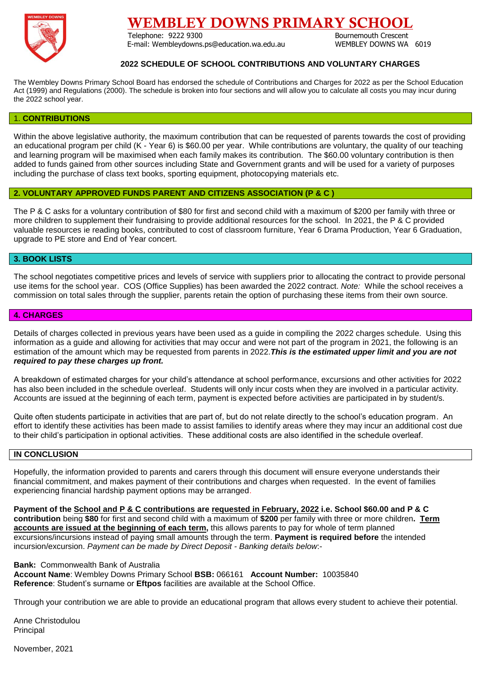

# EMBLEY DOWNS PRIMARY SCHOOL

Telephone: 9222 9300 Bournemouth Crescent E-mail: Wembleydowns.ps@education.wa.edu.au WEMBLEY DOWNS WA 6019

## **2022 SCHEDULE OF SCHOOL CONTRIBUTIONS AND VOLUNTARY CHARGES**

The Wembley Downs Primary School Board has endorsed the schedule of Contributions and Charges for 2022 as per the School Education Act (1999) and Regulations (2000). The schedule is broken into four sections and will allow you to calculate all costs you may incur during the 2022 school year.

#### 1. **CONTRIBUTIONS**

Within the above legislative authority, the maximum contribution that can be requested of parents towards the cost of providing an educational program per child (K - Year 6) is \$60.00 per year. While contributions are voluntary, the quality of our teaching and learning program will be maximised when each family makes its contribution. The \$60.00 voluntary contribution is then added to funds gained from other sources including State and Government grants and will be used for a variety of purposes including the purchase of class text books, sporting equipment, photocopying materials etc.

## **2. VOLUNTARY APPROVED FUNDS PARENT AND CITIZENS ASSOCIATION (P & C )**

The P & C asks for a voluntary contribution of \$80 for first and second child with a maximum of \$200 per family with three or more children to supplement their fundraising to provide additional resources for the school. In 2021, the P & C provided valuable resources ie reading books, contributed to cost of classroom furniture, Year 6 Drama Production, Year 6 Graduation, upgrade to PE store and End of Year concert.

## **3. BOOK LISTS**

The school negotiates competitive prices and levels of service with suppliers prior to allocating the contract to provide personal use items for the school year. COS (Office Supplies) has been awarded the 2022 contract. *Note:* While the school receives a commission on total sales through the supplier, parents retain the option of purchasing these items from their own source.

#### **4. CHARGES**

Details of charges collected in previous years have been used as a guide in compiling the 2022 charges schedule. Using this information as a guide and allowing for activities that may occur and were not part of the program in 2021, the following is an estimation of the amount which may be requested from parents in 2022.*This is the estimated upper limit and you are not required to pay these charges up front.*

A breakdown of estimated charges for your child's attendance at school performance, excursions and other activities for 2022 has also been included in the schedule overleaf. Students will only incur costs when they are involved in a particular activity. Accounts are issued at the beginning of each term, payment is expected before activities are participated in by student/s.

Quite often students participate in activities that are part of, but do not relate directly to the school's education program. An effort to identify these activities has been made to assist families to identify areas where they may incur an additional cost due to their child's participation in optional activities. These additional costs are also identified in the schedule overleaf.

### **IN CONCLUSION**

Hopefully, the information provided to parents and carers through this document will ensure everyone understands their financial commitment, and makes payment of their contributions and charges when requested. In the event of families experiencing financial hardship payment options may be arranged.

**Payment of the School and P & C contributions are requested in February, 2022 i.e. School \$60.00 and P & C contribution** being **\$80** for first and second child with a maximum of **\$200** per family with three or more children**. Term accounts are issued at the beginning of each term,** this allows parents to pay for whole of term planned excursions/incursions instead of paying small amounts through the term. **Payment is required before** the intended incursion/excursion. *Payment can be made by Direct Deposit - Banking details below*:-

**Bank:** Commonwealth Bank of Australia **Account Name**: Wembley Downs Primary School **BSB:** 066161 **Account Number:** 10035840 **Reference**: Student's surname or **Eftpos** facilities are available at the School Office.

Through your contribution we are able to provide an educational program that allows every student to achieve their potential.

Anne Christodulou **Principal** 

November, 2021